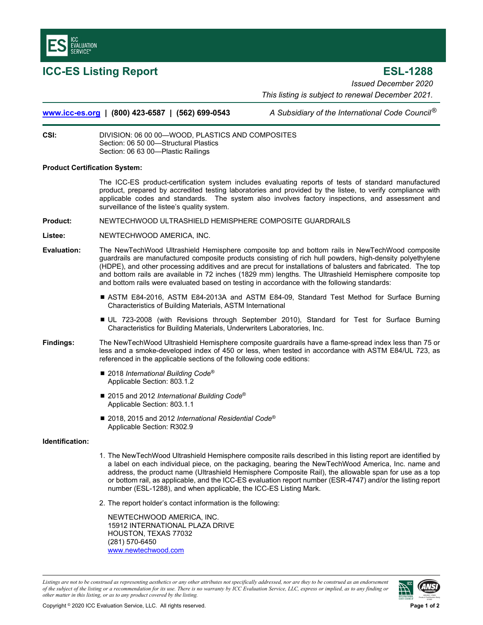

**ICC-ES Listing Report ESL-1288**  *Issued December 2020 This listing is subject to renewal December 2021.* 

**www.icc-es.org | (800) 423-6587 | (562) 699-0543** *A Subsidiary of the International Code Council* ®

**CSI:** DIVISION: 06 00 00—WOOD, PLASTICS AND COMPOSITES Section: 06 50 00—Structural Plastics Section: 06 63 00—Plastic Railings

## **Product Certification System:**

The ICC-ES product-certification system includes evaluating reports of tests of standard manufactured product, prepared by accredited testing laboratories and provided by the listee, to verify compliance with applicable codes and standards. The system also involves factory inspections, and assessment and surveillance of the listee's quality system.

- **Product:** NEWTECHWOOD ULTRASHIELD HEMISPHERE COMPOSITE GUARDRAILS
- **Listee:** NEWTECHWOOD AMERICA, INC.
- **Evaluation:** The NewTechWood Ultrashield Hemisphere composite top and bottom rails in NewTechWood composite guardrails are manufactured composite products consisting of rich hull powders, high-density polyethylene (HDPE), and other processing additives and are precut for installations of balusters and fabricated. The top and bottom rails are available in 72 inches (1829 mm) lengths. The Ultrashield Hemisphere composite top and bottom rails were evaluated based on testing in accordance with the following standards:
	- ASTM E84-2016, ASTM E84-2013A and ASTM E84-09, Standard Test Method for Surface Burning Characteristics of Building Materials, ASTM International
	- UL 723-2008 (with Revisions through September 2010), Standard for Test for Surface Burning Characteristics for Building Materials, Underwriters Laboratories, Inc.
- **Findings:** The NewTechWood Ultrashield Hemisphere composite guardrails have a flame-spread index less than 75 or less and a smoke-developed index of 450 or less, when tested in accordance with ASTM E84/UL 723, as referenced in the applicable sections of the following code editions:
	- 2018 *International Building Code<sup>®</sup>* Applicable Section: 803.1.2
	- 2015 and 2012 *International Building Code<sup>®</sup>* Applicable Section: 803.1.1
	- 2018, 2015 and 2012 *International Residential Code<sup>®</sup>* Applicable Section: R302.9

## **Identification:**

- 1. The NewTechWood Ultrashield Hemisphere composite rails described in this listing report are identified by a label on each individual piece, on the packaging, bearing the NewTechWood America, Inc. name and address, the product name (Ultrashield Hemisphere Composite Rail), the allowable span for use as a top or bottom rail, as applicable, and the ICC-ES evaluation report number (ESR-4747) and/or the listing report number (ESL-1288), and when applicable, the ICC-ES Listing Mark.
- 2. The report holder's contact information is the following:

NEWTECHWOOD AMERICA, INC. 15912 INTERNATIONAL PLAZA DRIVE HOUSTON, TEXAS 77032 (281) 570-6450 www.newtechwood.com

*Listings are not to be construed as representing aesthetics or any other attributes not specifically addressed, nor are they to be construed as an endorsement of the subject of the listing or a recommendation for its use. There is no warranty by ICC Evaluation Service, LLC, express or implied, as to any finding or other matter in this listing, or as to any product covered by the listing.*